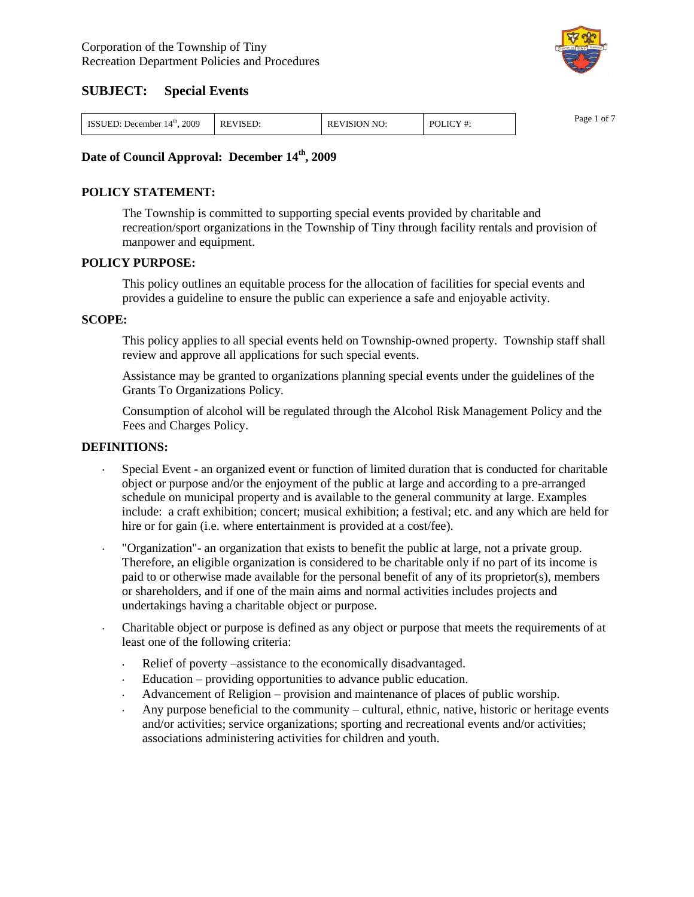

| .2009<br><b>ISSUED:</b> December $14^{\text{th}}$ | <b>REVISED:</b> | <b>REVISION NO:</b> | POLICY#: | Page<br>0t |
|---------------------------------------------------|-----------------|---------------------|----------|------------|
|---------------------------------------------------|-----------------|---------------------|----------|------------|

### **Date of Council Approval: December 14th, 2009**

### **POLICY STATEMENT:**

The Township is committed to supporting special events provided by charitable and recreation/sport organizations in the Township of Tiny through facility rentals and provision of manpower and equipment.

### **POLICY PURPOSE:**

This policy outlines an equitable process for the allocation of facilities for special events and provides a guideline to ensure the public can experience a safe and enjoyable activity.

### **SCOPE:**

This policy applies to all special events held on Township-owned property. Township staff shall review and approve all applications for such special events.

Assistance may be granted to organizations planning special events under the guidelines of the Grants To Organizations Policy.

Consumption of alcohol will be regulated through the Alcohol Risk Management Policy and the Fees and Charges Policy.

#### **DEFINITIONS:**

- Special Event an organized event or function of limited duration that is conducted for charitable object or purpose and/or the enjoyment of the public at large and according to a pre-arranged schedule on municipal property and is available to the general community at large. Examples include: a craft exhibition; concert; musical exhibition; a festival; etc. and any which are held for hire or for gain (i.e. where entertainment is provided at a cost/fee).
- "Organization"- an organization that exists to benefit the public at large, not a private group. Therefore, an eligible organization is considered to be charitable only if no part of its income is paid to or otherwise made available for the personal benefit of any of its proprietor(s), members or shareholders, and if one of the main aims and normal activities includes projects and undertakings having a charitable object or purpose.
- $\ddot{\phantom{a}}$ Charitable object or purpose is defined as any object or purpose that meets the requirements of at least one of the following criteria:
	- $\mathbf{r}^{\left(1\right)}$ Relief of poverty –assistance to the economically disadvantaged.
	- $\mathcal{L}^{\text{max}}$ Education – providing opportunities to advance public education.
	- Advancement of Religion provision and maintenance of places of public worship.
	- $\ddot{\phantom{a}}$ Any purpose beneficial to the community – cultural, ethnic, native, historic or heritage events and/or activities; service organizations; sporting and recreational events and/or activities; associations administering activities for children and youth.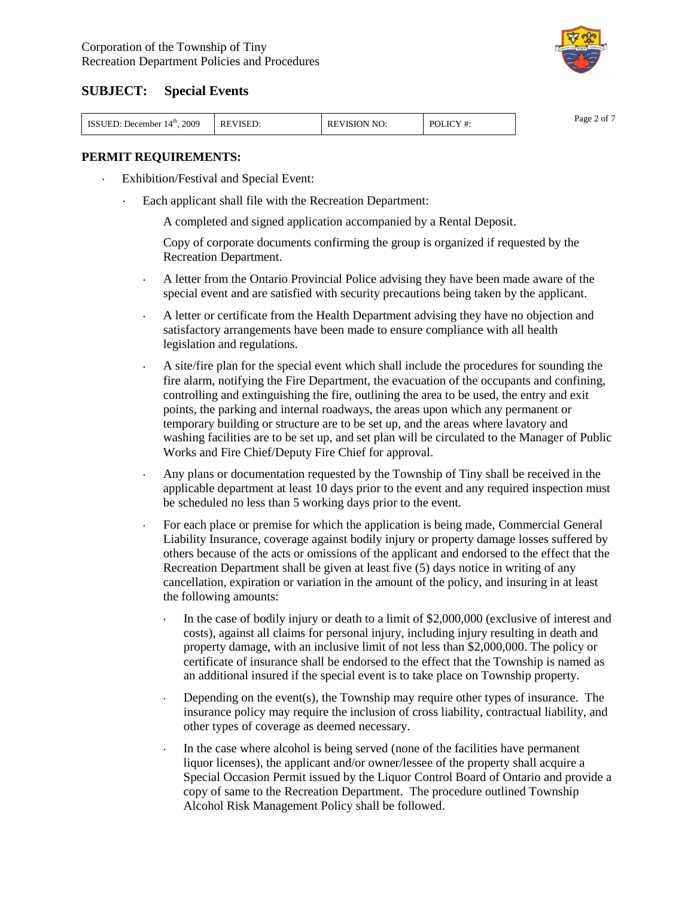

| <b>REVISED:</b><br>2009<br>a ICY.<br>ISSUED: 1<br>14 <sup>th</sup><br><b>REVISION</b><br>$\mathsf{N}$ NO.<br>P∩I<br>December<br>L #:<br>. |  |  |  |  | Page<br>2 of |
|-------------------------------------------------------------------------------------------------------------------------------------------|--|--|--|--|--------------|
|-------------------------------------------------------------------------------------------------------------------------------------------|--|--|--|--|--------------|

### **PERMIT REQUIREMENTS:**

- Exhibition/Festival and Special Event:
	- $\ddot{\phantom{0}}$ Each applicant shall file with the Recreation Department:

A completed and signed application accompanied by a Rental Deposit.

Copy of corporate documents confirming the group is organized if requested by the Recreation Department.

- $\ddot{\phantom{a}}$ A letter from the Ontario Provincial Police advising they have been made aware of the special event and are satisfied with security precautions being taken by the applicant.
- $\mathbf{L}^{\text{max}}$ A letter or certificate from the Health Department advising they have no objection and satisfactory arrangements have been made to ensure compliance with all health legislation and regulations.
- $\mathbf{L}$ A site/fire plan for the special event which shall include the procedures for sounding the fire alarm, notifying the Fire Department, the evacuation of the occupants and confining, controlling and extinguishing the fire, outlining the area to be used, the entry and exit points, the parking and internal roadways, the areas upon which any permanent or temporary building or structure are to be set up, and the areas where lavatory and washing facilities are to be set up, and set plan will be circulated to the Manager of Public Works and Fire Chief/Deputy Fire Chief for approval.
- Any plans or documentation requested by the Township of Tiny shall be received in the  $\ddot{\phantom{0}}$ applicable department at least 10 days prior to the event and any required inspection must be scheduled no less than 5 working days prior to the event.
- For each place or premise for which the application is being made, Commercial General Liability Insurance, coverage against bodily injury or property damage losses suffered by others because of the acts or omissions of the applicant and endorsed to the effect that the Recreation Department shall be given at least five (5) days notice in writing of any cancellation, expiration or variation in the amount of the policy, and insuring in at least the following amounts:
	- In the case of bodily injury or death to a limit of \$2,000,000 (exclusive of interest and costs), against all claims for personal injury, including injury resulting in death and property damage, with an inclusive limit of not less than \$2,000,000. The policy or certificate of insurance shall be endorsed to the effect that the Township is named as an additional insured if the special event is to take place on Township property.
	- Depending on the event(s), the Township may require other types of insurance. The insurance policy may require the inclusion of cross liability, contractual liability, and other types of coverage as deemed necessary.
	- In the case where alcohol is being served (none of the facilities have permanent liquor licenses), the applicant and/or owner/lessee of the property shall acquire a Special Occasion Permit issued by the Liquor Control Board of Ontario and provide a copy of same to the Recreation Department. The procedure outlined Township Alcohol Risk Management Policy shall be followed.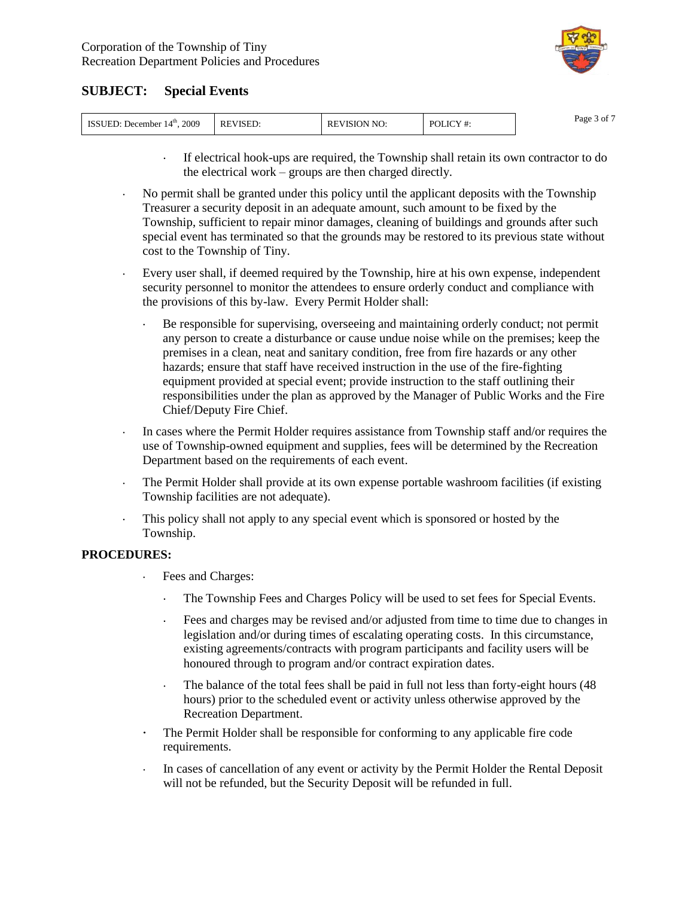

| . 2009<br>ISSUED: December $14th$ . | <b>REVISED:</b> | <b>REVISION NO:</b> | POLICY #: | $\sim$ $-$<br>Page<br>$3 \text{ of}$ |
|-------------------------------------|-----------------|---------------------|-----------|--------------------------------------|
|-------------------------------------|-----------------|---------------------|-----------|--------------------------------------|

- If electrical hook-ups are required, the Township shall retain its own contractor to do the electrical work – groups are then charged directly.
- No permit shall be granted under this policy until the applicant deposits with the Township  $\ddot{\phantom{0}}$ Treasurer a security deposit in an adequate amount, such amount to be fixed by the Township, sufficient to repair minor damages, cleaning of buildings and grounds after such special event has terminated so that the grounds may be restored to its previous state without cost to the Township of Tiny.
- Every user shall, if deemed required by the Township, hire at his own expense, independent security personnel to monitor the attendees to ensure orderly conduct and compliance with the provisions of this by-law. Every Permit Holder shall:
	- Be responsible for supervising, overseeing and maintaining orderly conduct; not permit any person to create a disturbance or cause undue noise while on the premises; keep the premises in a clean, neat and sanitary condition, free from fire hazards or any other hazards; ensure that staff have received instruction in the use of the fire-fighting equipment provided at special event; provide instruction to the staff outlining their responsibilities under the plan as approved by the Manager of Public Works and the Fire Chief/Deputy Fire Chief.
- In cases where the Permit Holder requires assistance from Township staff and/or requires the  $\ddot{\phantom{0}}$ use of Township-owned equipment and supplies, fees will be determined by the Recreation Department based on the requirements of each event.
- The Permit Holder shall provide at its own expense portable washroom facilities (if existing  $\ddot{\phantom{0}}$ Township facilities are not adequate).
- This policy shall not apply to any special event which is sponsored or hosted by the  $\ddot{\phantom{0}}$ Township.

### **PROCEDURES:**

- Fees and Charges:  $\ddot{\phantom{0}}$ 
	- $\mathcal{L}^{\text{max}}$ The Township Fees and Charges Policy will be used to set fees for Special Events.
	- $\mathcal{L}^{\text{max}}$ Fees and charges may be revised and/or adjusted from time to time due to changes in legislation and/or during times of escalating operating costs. In this circumstance, existing agreements/contracts with program participants and facility users will be honoured through to program and/or contract expiration dates.
	- The balance of the total fees shall be paid in full not less than forty-eight hours (48  $\ddot{\phantom{a}}$ hours) prior to the scheduled event or activity unless otherwise approved by the Recreation Department.
- The Permit Holder shall be responsible for conforming to any applicable fire code  $\bullet$  . requirements.
- $\ddot{\phantom{0}}$ In cases of cancellation of any event or activity by the Permit Holder the Rental Deposit will not be refunded, but the Security Deposit will be refunded in full.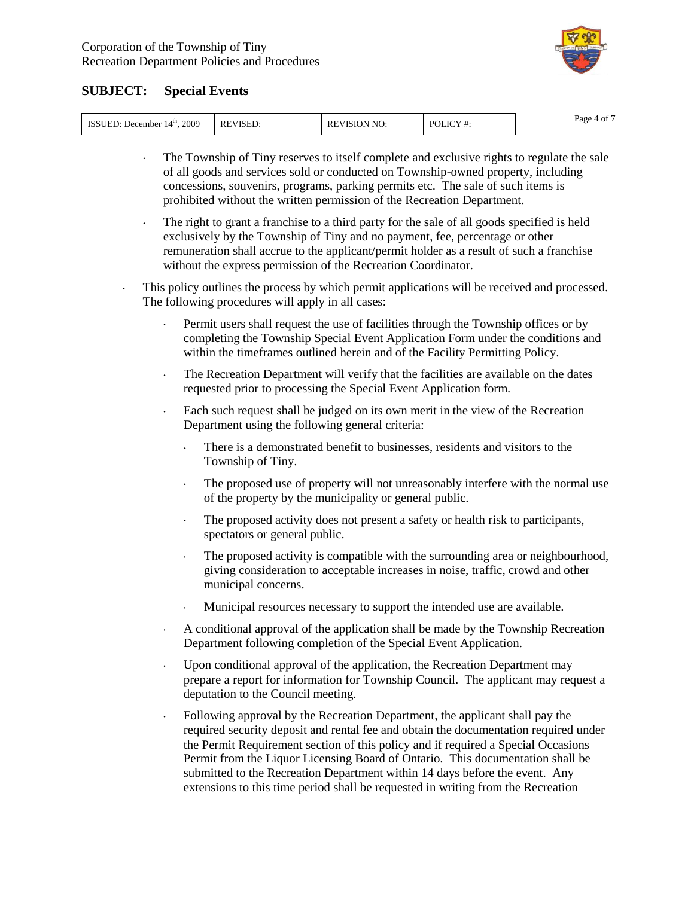

| 2009<br><b>ISSUED:</b><br>December $14^{\text{th}}$ | <b>REVISED:</b> | <b>REVISION NO:</b> | POLICY#: | Page<br>0t |
|-----------------------------------------------------|-----------------|---------------------|----------|------------|
|-----------------------------------------------------|-----------------|---------------------|----------|------------|

- 
- The Township of Tiny reserves to itself complete and exclusive rights to regulate the sale  $\ddot{\phantom{0}}$ of all goods and services sold or conducted on Township-owned property, including concessions, souvenirs, programs, parking permits etc. The sale of such items is prohibited without the written permission of the Recreation Department.
- The right to grant a franchise to a third party for the sale of all goods specified is held exclusively by the Township of Tiny and no payment, fee, percentage or other remuneration shall accrue to the applicant/permit holder as a result of such a franchise without the express permission of the Recreation Coordinator.
- This policy outlines the process by which permit applications will be received and processed. The following procedures will apply in all cases:
	- Permit users shall request the use of facilities through the Township offices or by completing the Township Special Event Application Form under the conditions and within the timeframes outlined herein and of the Facility Permitting Policy.
	- $\mathbf{L}^{\text{max}}$ The Recreation Department will verify that the facilities are available on the dates requested prior to processing the Special Event Application form.
	- Each such request shall be judged on its own merit in the view of the Recreation Department using the following general criteria:
		- There is a demonstrated benefit to businesses, residents and visitors to the Township of Tiny.
		- The proposed use of property will not unreasonably interfere with the normal use of the property by the municipality or general public.
		- The proposed activity does not present a safety or health risk to participants,  $\mathcal{L}^{\pm}$ spectators or general public.
		- The proposed activity is compatible with the surrounding area or neighbourhood, giving consideration to acceptable increases in noise, traffic, crowd and other municipal concerns.
		- Municipal resources necessary to support the intended use are available.
	- A conditional approval of the application shall be made by the Township Recreation Department following completion of the Special Event Application.
	- $\ddot{\phantom{0}}$ Upon conditional approval of the application, the Recreation Department may prepare a report for information for Township Council. The applicant may request a deputation to the Council meeting.
	- Following approval by the Recreation Department, the applicant shall pay the required security deposit and rental fee and obtain the documentation required under the Permit Requirement section of this policy and if required a Special Occasions Permit from the Liquor Licensing Board of Ontario. This documentation shall be submitted to the Recreation Department within 14 days before the event. Any extensions to this time period shall be requested in writing from the Recreation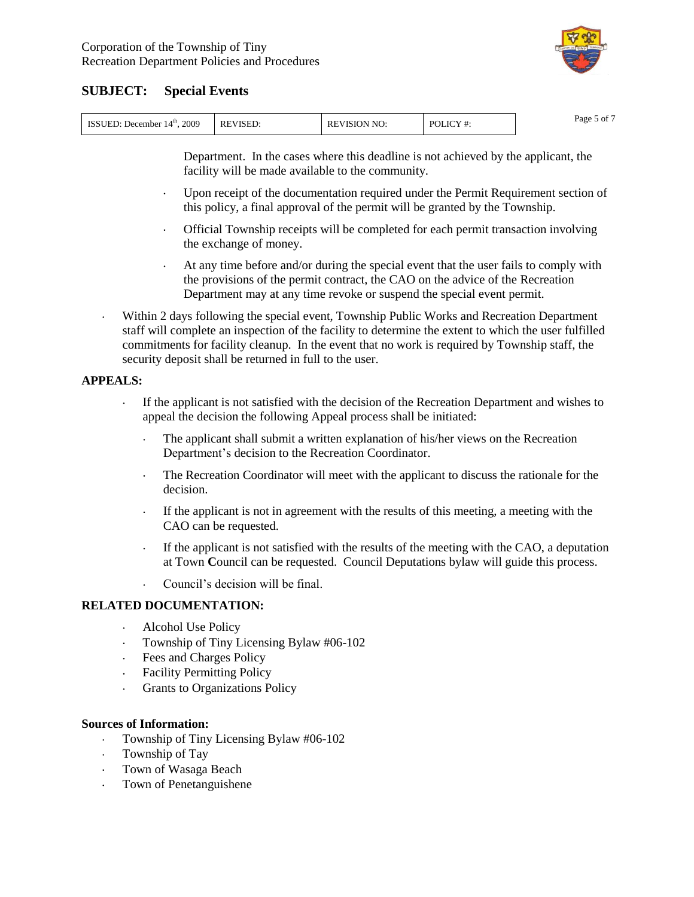

| .2009<br>ISSUED: December $14th$ , | <b>REVISED:</b> | <b>REVISION NO:</b> | POLICY#: | $\sim$ $-$<br>Page 5 of |
|------------------------------------|-----------------|---------------------|----------|-------------------------|
|------------------------------------|-----------------|---------------------|----------|-------------------------|

Department. In the cases where this deadline is not achieved by the applicant, the facility will be made available to the community.

- Upon receipt of the documentation required under the Permit Requirement section of this policy, a final approval of the permit will be granted by the Township.
- $\mathcal{L}^{\text{max}}$ Official Township receipts will be completed for each permit transaction involving the exchange of money.
- At any time before and/or during the special event that the user fails to comply with  $\mathbf{r}$ the provisions of the permit contract, the CAO on the advice of the Recreation Department may at any time revoke or suspend the special event permit.
- Within 2 days following the special event, Township Public Works and Recreation Department staff will complete an inspection of the facility to determine the extent to which the user fulfilled commitments for facility cleanup. In the event that no work is required by Township staff, the security deposit shall be returned in full to the user.

### **APPEALS:**

- If the applicant is not satisfied with the decision of the Recreation Department and wishes to  $\ddot{\phantom{0}}$ appeal the decision the following Appeal process shall be initiated:
	- $\mathbf{L}$ The applicant shall submit a written explanation of his/her views on the Recreation Department's decision to the Recreation Coordinator.
	- The Recreation Coordinator will meet with the applicant to discuss the rationale for the  $\epsilon$ decision.
	- If the applicant is not in agreement with the results of this meeting, a meeting with the  $\mathbf{r}$ CAO can be requested.
	- If the applicant is not satisfied with the results of the meeting with the CAO, a deputation at Town **C**ouncil can be requested. Council Deputations bylaw will guide this process.
	- Council's decision will be final.

### **RELATED DOCUMENTATION:**

- $\ddot{\phantom{a}}$ Alcohol Use Policy
- Township of Tiny Licensing Bylaw #06-102  $\mathcal{L}^{\text{max}}$
- Fees and Charges Policy
- Facility Permitting Policy  $\mathbf{L}^{(1)}$
- Grants to Organizations Policy  $\mathcal{L}^{(1)}$

### **Sources of Information:**

- Township of Tiny Licensing Bylaw #06-102  $\sim$
- Township of Tay
- Town of Wasaga Beach
- Town of Penetanguishene $\ddot{\phantom{0}}$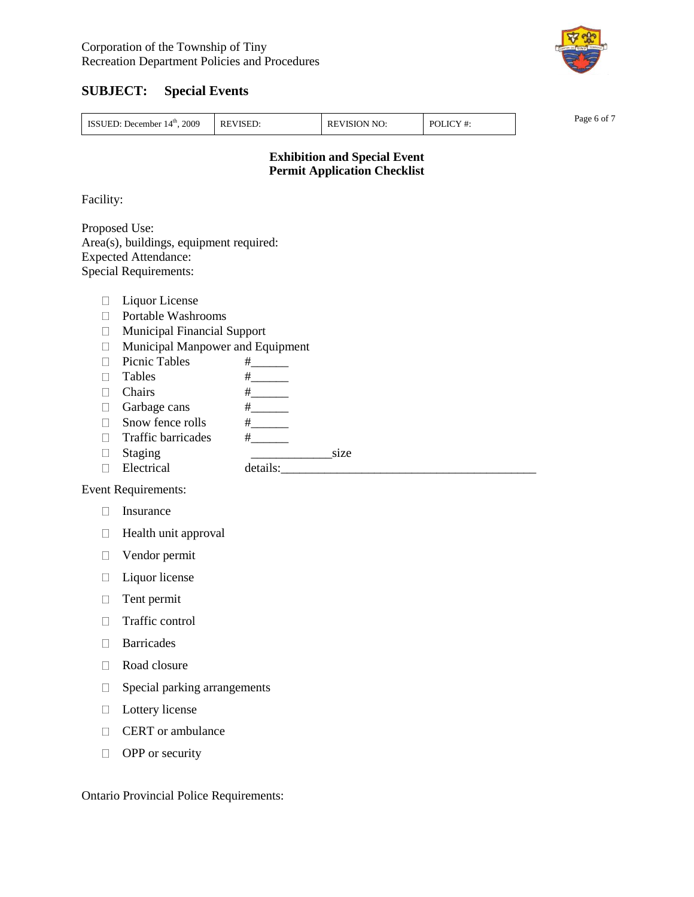

| 2009<br><b>REVISED:</b><br>ICY<br>14 <sup>th</sup><br>ISSUEI<br><b>REVISION</b><br>$\sqrt{N}$ NO:<br>P∩I<br>.<br>December<br>1 #.<br>. |  |  |  |  | Page<br>to of |
|----------------------------------------------------------------------------------------------------------------------------------------|--|--|--|--|---------------|
|----------------------------------------------------------------------------------------------------------------------------------------|--|--|--|--|---------------|

### **Exhibition and Special Event Permit Application Checklist**

Facility:

Proposed Use: Area(s), buildings, equipment required: Expected Attendance: Special Requirements:

- □ Liquor License
- Portable Washrooms
- Municipal Financial Support
- Municipal Manpower and Equipment
- $\Box$  Picnic Tables #
- $\Box$  Tables #
- $\Box$  Chairs #
- $\Box$  Garbage cans #
- $\Box$  Snow fence rolls  $\qquad \qquad \#$
- $\Box$  Traffic barricades #
- □ Staging size  $\Box$  Electrical details:

Event Requirements:

- Insurance
- $\Box$  Health unit approval
- Vendor permit
- □ Liquor license
- **Tent permit**
- □ Traffic control
- **Barricades**
- Road closure
- $\Box$  Special parking arrangements
- D Lottery license
- **CERT** or ambulance
- **OPP** or security

Ontario Provincial Police Requirements: